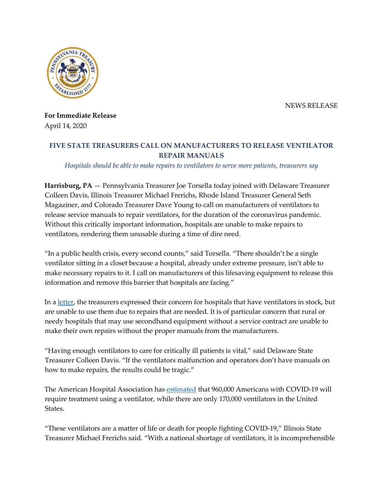NEWS RELEASE



**For Immediate Release**  April 14, 2020

# **FIVE STATE TREASURERS CALL ON MANUFACTURERS TO RELEASE VENTILATOR REPAIR MANUALS**

### *Hospitals should be able to make repairs to ventilators to serve more patients, treasurers say*

 Magaziner, and Colorado Treasurer Dave Young to call on manufacturers of ventilators to release service manuals to repair ventilators, for the duration of the coronavirus pandemic. ventilators, rendering them unusable during a time of dire need. **Harrisburg, PA** — Pennsylvania Treasurer Joe Torsella today joined with Delaware Treasurer Colleen Davis, Illinois Treasurer Michael Frerichs, Rhode Island Treasurer General Seth Without this critically important information, hospitals are unable to make repairs to

 "In a public health crisis, every second counts," said Torsella. "There shouldn't be a single information and remove this barrier that hospitals are facing." ventilator sitting in a closet because a hospital, already under extreme pressure, isn't able to make necessary repairs to it. I call on manufacturers of this lifesaving equipment to release this

 are unable to use them due to repairs that are needed. It is of particular concern that rural or needy hospitals that may use secondhand equipment without a service contract are unable to In a <u>letter</u>, the treasurers expressed their concern for hospitals that have ventilators in stock, but make their own repairs without the proper manuals from the manufacturers.

 "Having enough ventilators to care for critically ill patients is vital," said Delaware State how to make repairs, the results could be tragic." Treasurer Colleen Davis. "If the ventilators malfunction and operators don't have manuals on

 require treatment using a ventilator, while there are only 170,000 ventilators in the United The American Hospital Association has [estimated](https://www.vox.com/recode/2020/3/20/21186749/ventilators-coronavirus-covid-19-elon-musk) that 960,000 Americans with COVID-19 will States.

 "These ventilators are a matter of life or death for people fighting COVID-19," Illinois State Treasurer Michael Frerichs said. "With a national shortage of ventilators, it is incomprehensible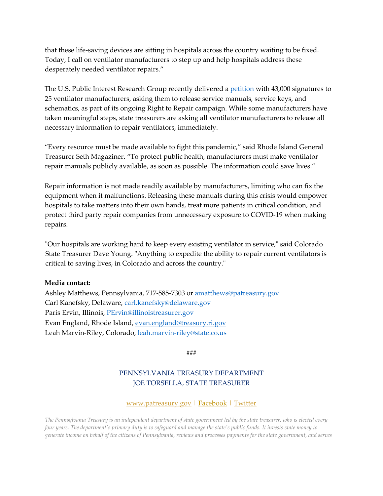that these life-saving devices are sitting in hospitals across the country waiting to be fixed. desperately needed ventilator repairs." Today, I call on ventilator manufacturers to step up and help hospitals address these

 schematics, as part of its ongoing Right to Repair campaign. While some manufacturers have taken meaningful steps, state treasurers are asking all ventilator manufacturers to release all The U.S. Public Interest Research Group recently delivered a [petition](https://uspirg.org/news/usp/43000-call-ventilator-manufacturers-release-repair-information) with 43,000 signatures to 25 ventilator manufacturers, asking them to release service manuals, service keys, and necessary information to repair ventilators, immediately.

 "Every resource must be made available to fight this pandemic," said Rhode Island General Treasurer Seth Magaziner. "To protect public health, manufacturers must make ventilator repair manuals publicly available, as soon as possible. The information could save lives."

 Repair information is not made readily available by manufacturers, limiting who can fix the equipment when it malfunctions. Releasing these manuals during this crisis would empower hospitals to take matters into their own hands, treat more patients in critical condition, and protect third party repair companies from unnecessary exposure to COVID-19 when making repairs.

 "Our hospitals are working hard to keep every existing ventilator in service," said Colorado State Treasurer Dave Young. "Anything to expedite the ability to repair current ventilators is critical to saving lives, in Colorado and across the country."

#### **Media contact:**

Ashley Matthews, Pennsylvania, 717-585-7303 or <u>[amatthews@patreasury.gov](mailto:amatthews@patreasury.gov)</u><br>Carl Kanefsky, Delaware, <u>carl.kanefsky@delaware.gov</u><br>Paris Ervin, Illinois, <u>PErvin@illinoistreasurer.gov</u><br>Evan England, Rhode Island, <u>evan.englan</u> Carl Kanefsky, Delaware, carl.kanefsky@delaware.gov Paris Ervin, Illinois, PErvin@illinoistreasurer.gov Evan England, Rhode Island, evan.england@treasury.ri.gov Leah Marvin-Riley, Colorado, leah.marvin-riley@state.co.us

**###** 

## PENNSYLVANIA TREASURY DEPARTMENT JOE TORSELLA, STATE TREASURER

#### [www.patreasury.gov |](http://www.patreasury.gov/) [Facebook |](https://www.facebook.com/PATreasurer) Twitter

 *The Pennsylvania Treasury is an independent department of state government led by the state treasurer, who is elected every four years. The department's primary duty is to safeguard and manage the state's public funds. It invests state money to generate income on behalf of the citizens of Pennsylvania, reviews and processes payments for the state government, and serves*